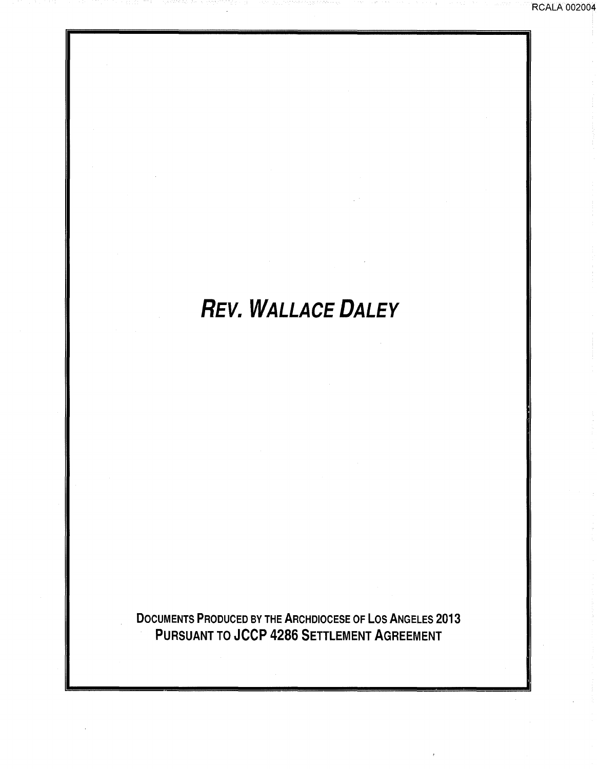# **REV. WALLACE DALEY**

DOCUMENTS PRODUCED BY THE ARCHDIOCESE OF LOS ANGELES 2013 PURSUANT TO JCCP 4286 SETTLEMENT AGREEMENT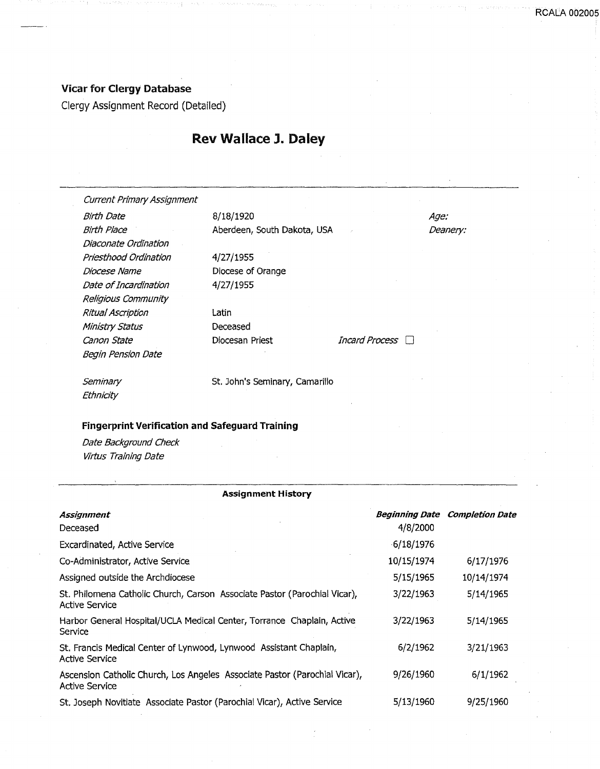### Vicar for Clergy Database

Clergy Assignment Record (Detailed)

## Rev Wallace J. Daley

|          | <b>Current Primary Assignment</b> |                                                                            |                       |                                       |
|----------|-----------------------------------|----------------------------------------------------------------------------|-----------------------|---------------------------------------|
|          | <b>Birth Date</b>                 | 8/18/1920                                                                  |                       | Age:                                  |
|          | <b>Birth Place</b>                | Aberdeen, South Dakota, USA                                                |                       | Deanery:                              |
|          | Diaconate Ordination              |                                                                            |                       |                                       |
|          | Priesthood Ordination             | 4/27/1955                                                                  |                       |                                       |
|          | Diocese Name                      | Diocese of Orange                                                          |                       |                                       |
|          | Date of Incardination             | 4/27/1955                                                                  |                       |                                       |
|          | Religious Community               |                                                                            |                       |                                       |
|          | Ritual Ascription                 | Latin                                                                      |                       |                                       |
|          | Ministry Status                   | Deceased                                                                   |                       |                                       |
|          | Canon State                       | Diocesan Priest                                                            | <b>Incard Process</b> |                                       |
|          | <b>Begin Pension Date</b>         |                                                                            |                       |                                       |
|          | Seminary                          | St. John's Seminary, Camarillo                                             |                       |                                       |
|          | Ethnicity                         |                                                                            |                       |                                       |
|          | Virtus Training Date              | <b>Assignment History</b>                                                  |                       |                                       |
|          |                                   |                                                                            |                       |                                       |
|          | Assignment                        |                                                                            |                       | <b>Beginning Date Completion Date</b> |
| Deceased |                                   |                                                                            | 4/8/2000              |                                       |
|          | Excardinated, Active Service      |                                                                            | $-6/18/1976$          |                                       |
|          | Co-Administrator, Active Service  |                                                                            | 10/15/1974            | 6/17/1976                             |
|          | Assigned outside the Archdiocese  |                                                                            | 5/15/1965             | 10/14/1974                            |
|          | Active Service                    | St. Philomena Catholic Church, Carson Associate Pastor (Parochial Vicar),  | 3/22/1963             | 5/14/1965                             |
| Service  |                                   | Harbor General Hospital/UCLA Medical Center, Torrance Chaplain, Active     | 3/22/1963             | 5/14/1965                             |
|          | Active Service                    | St. Francis Medical Center of Lynwood, Lynwood Assistant Chaplain,         | 6/2/1962              | 3/21/1963                             |
|          | <b>Active Service</b>             | Ascension Catholic Church, Los Angeles Associate Pastor (Parochial Vicar), | 9/26/1960             | 6/1/1962                              |
|          |                                   | St. Joseph Novitiate Associate Pastor (Parochial Vicar), Active Service    | 5/13/1960             | 9/25/1960                             |
|          |                                   |                                                                            |                       |                                       |

**RCALA 00200**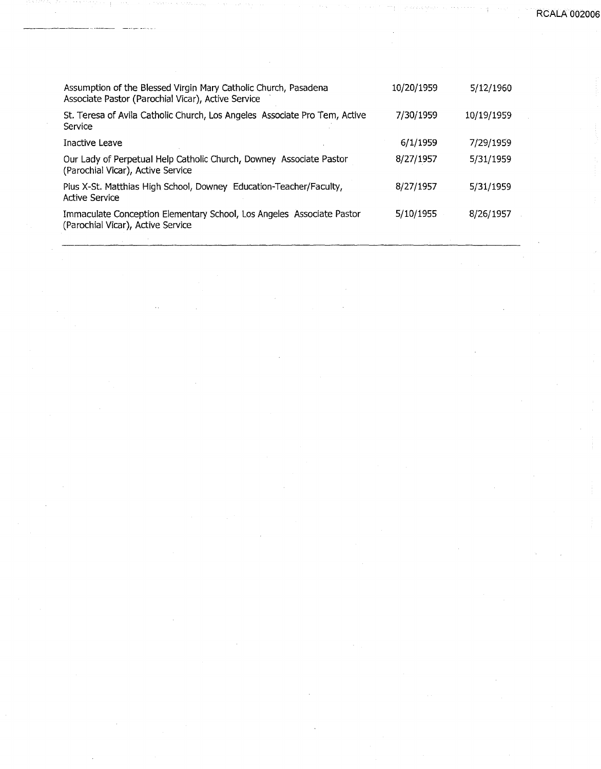**RCALA 00200** 

| Assumption of the Blessed Virgin Mary Catholic Church, Pasadena<br>Associate Pastor (Parochial Vicar), Active Service | 10/20/1959 | 5/12/1960  |
|-----------------------------------------------------------------------------------------------------------------------|------------|------------|
| St. Teresa of Avila Catholic Church, Los Angeles Associate Pro Tem, Active<br>Service                                 | 7/30/1959  | 10/19/1959 |
| Inactive Leave                                                                                                        | 6/1/1959   | 7/29/1959  |
| Our Lady of Perpetual Help Catholic Church, Downey Associate Pastor<br>(Parochial Vicar), Active Service              | 8/27/1957  | 5/31/1959  |
| Pius X-St. Matthias High School, Downey Education-Teacher/Faculty,<br><b>Active Service</b>                           | 8/27/1957  | 5/31/1959  |
| Immaculate Conception Elementary School, Los Angeles Associate Pastor<br>(Parochial Vicar), Active Service            | 5/10/1955  | 8/26/1957  |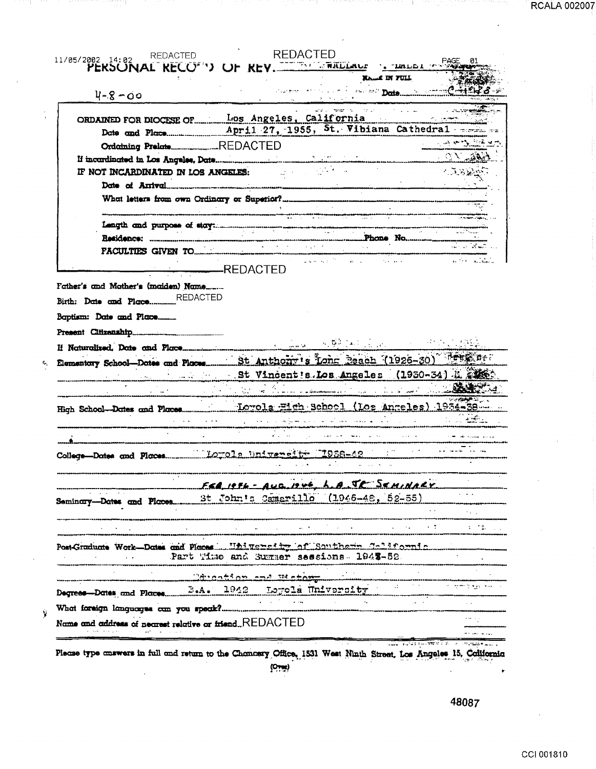| 11/05/2002 14:02 REDACTED<br>FAGE RECOT'') OF REV. WHERE A TURLER PAGE                                                                                                                                                         |                                         |                                                                                                                      |                                                                                                                                                                                                                               |                     |                         |                            |
|--------------------------------------------------------------------------------------------------------------------------------------------------------------------------------------------------------------------------------|-----------------------------------------|----------------------------------------------------------------------------------------------------------------------|-------------------------------------------------------------------------------------------------------------------------------------------------------------------------------------------------------------------------------|---------------------|-------------------------|----------------------------|
|                                                                                                                                                                                                                                |                                         |                                                                                                                      |                                                                                                                                                                                                                               | <b>NAME IN FILL</b> |                         |                            |
|                                                                                                                                                                                                                                |                                         |                                                                                                                      |                                                                                                                                                                                                                               | <b>Provide Pote</b> |                         |                            |
| $4 - 8 - 00$                                                                                                                                                                                                                   |                                         |                                                                                                                      |                                                                                                                                                                                                                               |                     |                         |                            |
| ORDAINED FOR DIOCESE OF Los Angeles, California<br>Date and Place April 27, 1955, St. Vibiana Cathedral                                                                                                                        |                                         |                                                                                                                      | and to result in the control                                                                                                                                                                                                  |                     | $\cdot$ $\cdot$ $\cdot$ |                            |
|                                                                                                                                                                                                                                |                                         |                                                                                                                      |                                                                                                                                                                                                                               |                     |                         |                            |
|                                                                                                                                                                                                                                |                                         |                                                                                                                      |                                                                                                                                                                                                                               |                     |                         |                            |
|                                                                                                                                                                                                                                |                                         |                                                                                                                      |                                                                                                                                                                                                                               |                     |                         | - 全国記載                     |
| IF NOT INCARDINATED IN LOS ANGELES:                                                                                                                                                                                            |                                         |                                                                                                                      |                                                                                                                                                                                                                               |                     |                         |                            |
| Date of Arrival continuous communications and continuous communications and continuous communications are all the set of the set of the set of the set of the set of the set of the set of the set of the set of the set of th |                                         |                                                                                                                      |                                                                                                                                                                                                                               |                     |                         |                            |
|                                                                                                                                                                                                                                |                                         |                                                                                                                      |                                                                                                                                                                                                                               |                     |                         |                            |
|                                                                                                                                                                                                                                |                                         |                                                                                                                      |                                                                                                                                                                                                                               |                     |                         |                            |
|                                                                                                                                                                                                                                |                                         |                                                                                                                      |                                                                                                                                                                                                                               |                     |                         |                            |
|                                                                                                                                                                                                                                |                                         |                                                                                                                      |                                                                                                                                                                                                                               |                     |                         |                            |
| <b>FACULTIES GIVEN TO COMPRESSION CONTROLLER CONTROLLER PERSONAL PROPERTY OF ALCOHOL</b>                                                                                                                                       |                                         | <u> Tanzania de la contrada de la contrada de la contrada de la contrada de la contrada de la contrada de la con</u> |                                                                                                                                                                                                                               |                     |                         |                            |
|                                                                                                                                                                                                                                | REDACTED                                |                                                                                                                      | and and the                                                                                                                                                                                                                   |                     |                         | a Personalista             |
| Father's and Mather's (maiden) Name                                                                                                                                                                                            |                                         |                                                                                                                      |                                                                                                                                                                                                                               |                     |                         |                            |
|                                                                                                                                                                                                                                |                                         |                                                                                                                      | and a community of the second community of the second community of the second community of the second community of the second community of the second community of the second community of the second community of the second |                     |                         |                            |
|                                                                                                                                                                                                                                |                                         |                                                                                                                      |                                                                                                                                                                                                                               |                     |                         |                            |
| Birth: Date and PlaceREDACTED<br>Baptism: Date and Place<br>St Vincent's Los Angeles (1950-34) A                                                                                                                               |                                         |                                                                                                                      |                                                                                                                                                                                                                               |                     |                         |                            |
|                                                                                                                                                                                                                                |                                         |                                                                                                                      | هيُّونَ وَأَوْلَى الْمُعْلَمِينَ أَهْلِ وَاللَّهِ الْمَالِينَ إِلَى إِلَى مِنْ سِيسْسِطِيطِي سَالِمَ والأراد و                                                                                                                |                     |                         |                            |
|                                                                                                                                                                                                                                |                                         |                                                                                                                      |                                                                                                                                                                                                                               |                     |                         |                            |
|                                                                                                                                                                                                                                |                                         |                                                                                                                      |                                                                                                                                                                                                                               |                     |                         |                            |
|                                                                                                                                                                                                                                |                                         |                                                                                                                      |                                                                                                                                                                                                                               |                     |                         |                            |
|                                                                                                                                                                                                                                |                                         |                                                                                                                      |                                                                                                                                                                                                                               |                     |                         |                            |
|                                                                                                                                                                                                                                |                                         |                                                                                                                      |                                                                                                                                                                                                                               |                     |                         |                            |
|                                                                                                                                                                                                                                |                                         |                                                                                                                      |                                                                                                                                                                                                                               |                     |                         |                            |
|                                                                                                                                                                                                                                | $FFA$ $IFA - AUB 1246$                  |                                                                                                                      |                                                                                                                                                                                                                               | A JE SEMINARY       |                         |                            |
|                                                                                                                                                                                                                                |                                         |                                                                                                                      |                                                                                                                                                                                                                               |                     |                         |                            |
|                                                                                                                                                                                                                                |                                         |                                                                                                                      |                                                                                                                                                                                                                               |                     |                         |                            |
|                                                                                                                                                                                                                                |                                         |                                                                                                                      |                                                                                                                                                                                                                               |                     |                         |                            |
| Post-Graduate Work-Dates and Places  University of Southern California                                                                                                                                                         |                                         |                                                                                                                      |                                                                                                                                                                                                                               |                     |                         |                            |
|                                                                                                                                                                                                                                | Part Time and Summer sessions. 1943-52. |                                                                                                                      |                                                                                                                                                                                                                               |                     |                         |                            |
| ducation and weton                                                                                                                                                                                                             |                                         |                                                                                                                      |                                                                                                                                                                                                                               |                     |                         |                            |
|                                                                                                                                                                                                                                |                                         |                                                                                                                      |                                                                                                                                                                                                                               |                     |                         | in committee and continued |
| Degrees Dates and Places 2.4. 1942 Loyola University                                                                                                                                                                           |                                         | $\mathbf{q} = \mathbf{q} \times \mathbf{q}$ , where $\mathbf{q} = \mathbf{q} \times \mathbf{q}$                      |                                                                                                                                                                                                                               |                     |                         |                            |
| Name and address of nearest relative or friendREDACTED                                                                                                                                                                         |                                         |                                                                                                                      |                                                                                                                                                                                                                               |                     |                         |                            |

10 H H

in de la companya del comunidad

ang pangangan pang

Description

**RCALA 002007** 

mar m

at trong the

 $(0, 0)$ 

48087

 $\ddot{\phantom{0}}$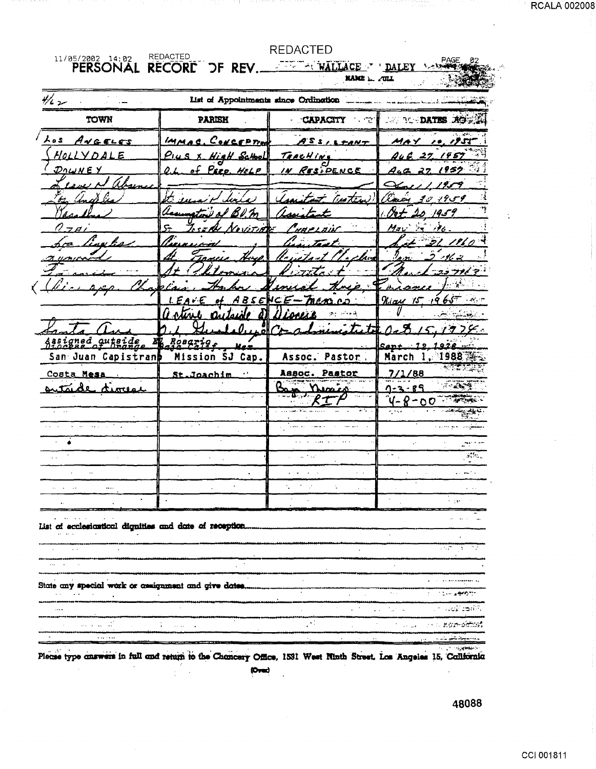| 11/05/2002 14:02<br>PERSONAL                                          | REDACTED<br>RECORE OF REV. WALLACE ' DALEY       | <b>REDACTED</b><br>NAME L. ZULL                                                        | PAGE                                                         |
|-----------------------------------------------------------------------|--------------------------------------------------|----------------------------------------------------------------------------------------|--------------------------------------------------------------|
| $\frac{1}{2}$                                                         | List of Appointments since Ordination            |                                                                                        |                                                              |
| TOWN                                                                  | <b>PARISH</b>                                    | <b>CAPACITY</b><br>् गाउँ ।                                                            | <b>AND BOOD AGES</b>                                         |
| へっち<br>ANGELES                                                        | IMMAC, CONCEPTION                                | ASSILTANT                                                                              | 1953<br>MA Y<br>≁₽.                                          |
| HOLLYDALE                                                             | Hight School                                     |                                                                                        | 27.1957                                                      |
| Длш н Еу                                                              | <u> Pero, Help</u>                               | TRACHING<br>IN RESIDENCE                                                               | 2.1952<br>4.c                                                |
| د د مده                                                               |                                                  |                                                                                        | ノタイタ                                                         |
|                                                                       |                                                  | nastem                                                                                 | موسق 19 مئ                                                   |
| $7 - a$                                                               |                                                  |                                                                                        | 1954<br>$\mathcal{F} = \mathcal{F}$                          |
| ina ha                                                                |                                                  |                                                                                        | 31. IV 0                                                     |
|                                                                       |                                                  |                                                                                        |                                                              |
|                                                                       |                                                  |                                                                                        | フコ サタイ マ                                                     |
|                                                                       |                                                  |                                                                                        |                                                              |
|                                                                       | ABSE                                             | NCE-<br>mens e.                                                                        | $65^\circ$ . As $\tau$<br>Kiau IS<br>., q                    |
|                                                                       | Ω                                                |                                                                                        |                                                              |
|                                                                       |                                                  |                                                                                        | フタフジー                                                        |
| signed quteide<br>San Juan Capistranb                                 | <i>Rosario,</i><br><u>Max</u><br>Mission SJ Cap. | Assoc. Pastor                                                                          | March<br>1988                                                |
| Costa Mesa                                                            | St.Joachim                                       | Assoc. Pastor                                                                          | 7/1/88                                                       |
| ستكس<br><b>LATERAL</b>                                                |                                                  | $M = M$                                                                                | -2 - R9                                                      |
|                                                                       |                                                  |                                                                                        | ΛC                                                           |
| $\ddot{\phantom{a}}$                                                  |                                                  |                                                                                        |                                                              |
|                                                                       |                                                  |                                                                                        |                                                              |
|                                                                       |                                                  | $\omega_{\rm c} \simeq 0.1$                                                            | $\mathcal{G}_\lambda$ or $\mathcal{G}_\lambda$<br>$\sim$     |
|                                                                       |                                                  |                                                                                        |                                                              |
| $\ddot{\phantom{a}}$<br>.<br>                                         |                                                  | $\mathbf{a} = \mathbf{a} + \mathbf{b} + \mathbf{c}$<br>÷.<br>$\mathcal{L}=\mathcal{L}$ |                                                              |
| ٠.                                                                    |                                                  |                                                                                        | n der                                                        |
| List of ecclesiontical dignities and date of reception.<br>$\sim 100$ |                                                  | حمد                                                                                    | - ج<br>÷.                                                    |
| $\cdots$                                                              |                                                  |                                                                                        |                                                              |
| State any special work or assignment and give dates.                  |                                                  |                                                                                        |                                                              |
| $\mathbf{L}^{\prime}$ , $\mathbf{L}^{\prime}$ , $\mathbf{L}^{\prime}$ |                                                  |                                                                                        | <b>Constitution Service</b><br>$\bullet$                     |
| $\cdots$                                                              |                                                  | $\mathcal{F}^{\mathbb{Z}}$                                                             | $\mathcal{L}^{\text{max}}$<br>ು ಯಾರ್ ಸಿಡಿಯಾ<br>$\sim$ $\sim$ |
|                                                                       | $\ddot{\cdot}$                                   |                                                                                        | ∾ a ngr⊢amba                                                 |

Please type conswers in full and return to the Chancery Office, 1531 West Ninth Street, Los Angeles 15, California **co.-d** 

RCALA 002008

 $\ddot{\cdot}$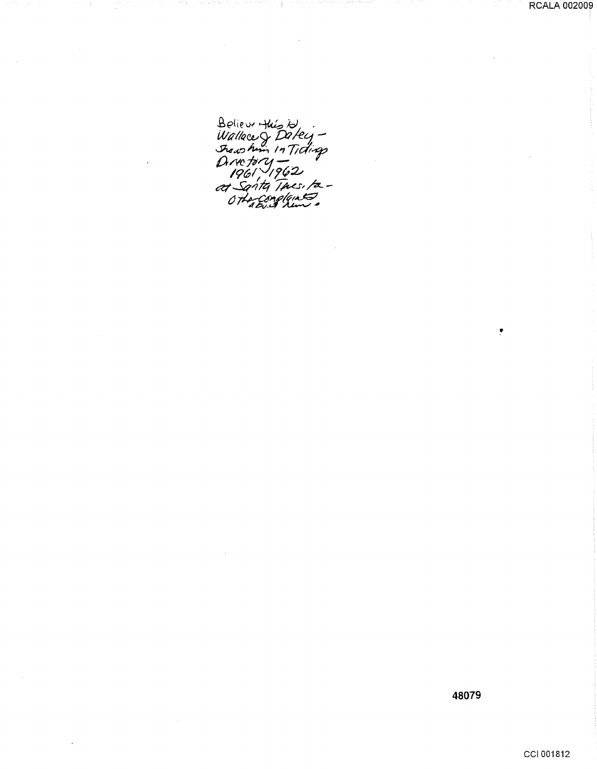Believe Huisto<br>Wallace & Datey -<br>Shows him in Tidings<br>Directory -<br>1961 - 1962<br>at Santa Thus to -<br>Othe Cong Gins

J.

48079

 $\ddot{\bullet}$ 

CCI 001812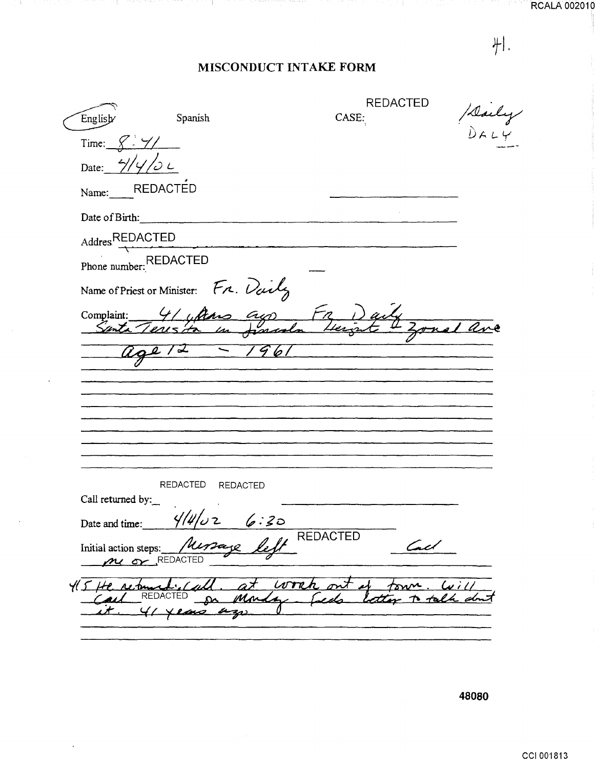**RCALA 002010** 

 $#I.$ 

-1.

### MISCONDUCT INTAKE FORM

car e ca

19 F L

-11

and a control

7 H F

| English           | Spanish                                     | <b>REDACTED</b><br>CASE: |                |
|-------------------|---------------------------------------------|--------------------------|----------------|
| Time: $X - Y/$    |                                             |                          | Staly<br>Dar U |
| Date: 4/4/2L      |                                             |                          |                |
| Name:             | <b>REDACTED</b>                             |                          |                |
| Date of Birth:    |                                             |                          |                |
| Addres REDACTED   |                                             |                          |                |
|                   | Phone number: REDACTED                      |                          |                |
|                   | Name of Priest or Minister: Fr. Daily       |                          |                |
| Complaint:        | 4/ ultimo ayo                               |                          |                |
| Senta             |                                             |                          |                |
|                   | 272<br>$\overline{\phantom{0}}$             | $-661$                   |                |
|                   |                                             |                          |                |
|                   |                                             |                          |                |
|                   |                                             |                          |                |
|                   |                                             |                          |                |
|                   | REDACTED REDACTED                           |                          |                |
| Call returned by: | 4/4/                                        |                          |                |
| Date and time:    | 6:30                                        | <b>REDACTED</b>          |                |
|                   | Initial action steps: Ner<br>ne or REDACTED | مصع                      |                |
| 415H              | returned                                    | work                     |                |
|                   | 41 xems azi                                 |                          |                |
|                   |                                             |                          |                |

48080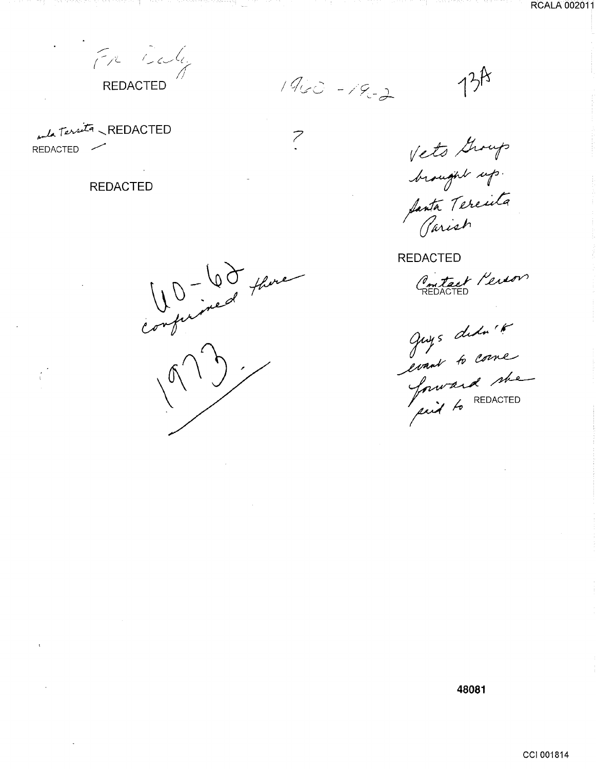REDACTED

 $1900 - 19 - 2$ 

 $\overline{\mathcal{C}}$ 

UD-60 there

 $134$ 

and Territa REDACTED REDACTED -

79.

**REDACTED** 

Vets Group<br>brought up<br>fanta Tereila<br>Jarish

**REDACTED** 

Contact Person

Juys debute

48081

CCI 001814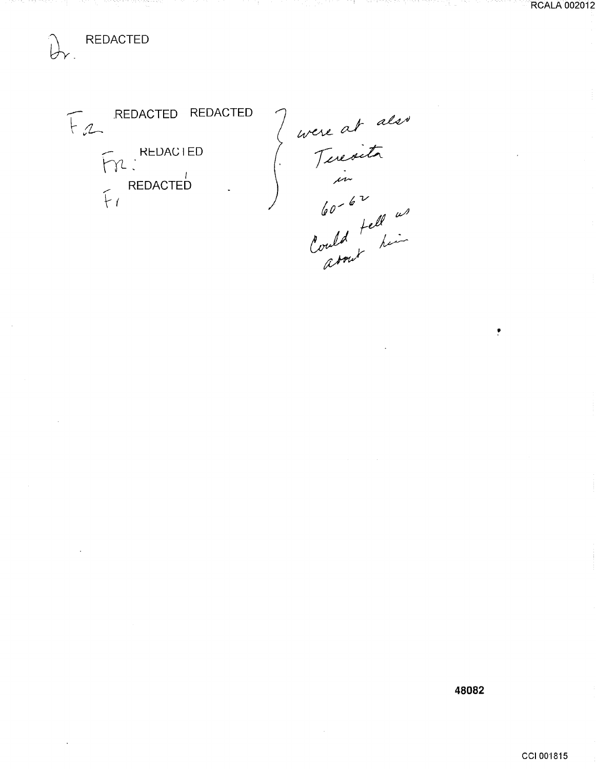REDACTED REDACTED  $F_{2}$ FYL REDACTED<br>FIREDACTED<br>FI

(uvere at also<br>ferecoita<br>for to v<br>lould tell us<br>lould tell us<br>arout him

mar e a

tiku,

**RCALA 002012** 

48082

 $\bullet$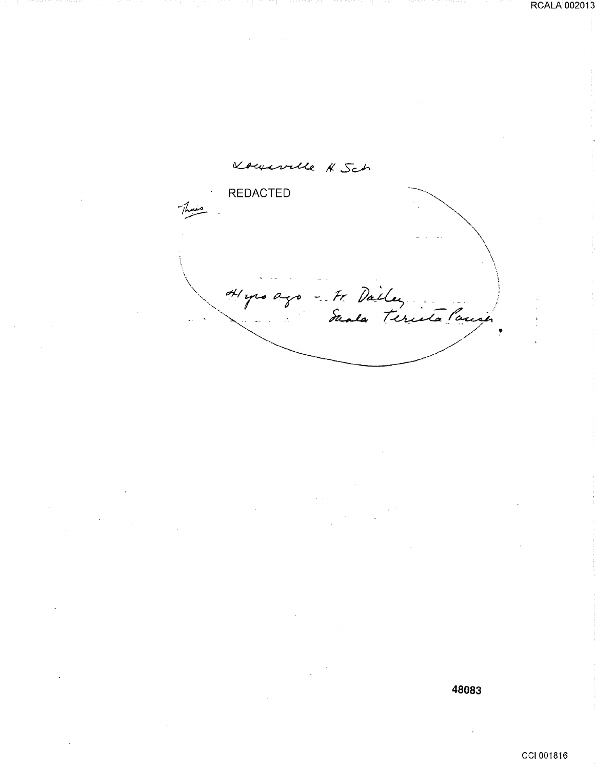Kourville # Sch REDACTED  $\searrow$  $\checkmark$  $\lambda$ ' Hypo ago - Fr Dailey

**48083**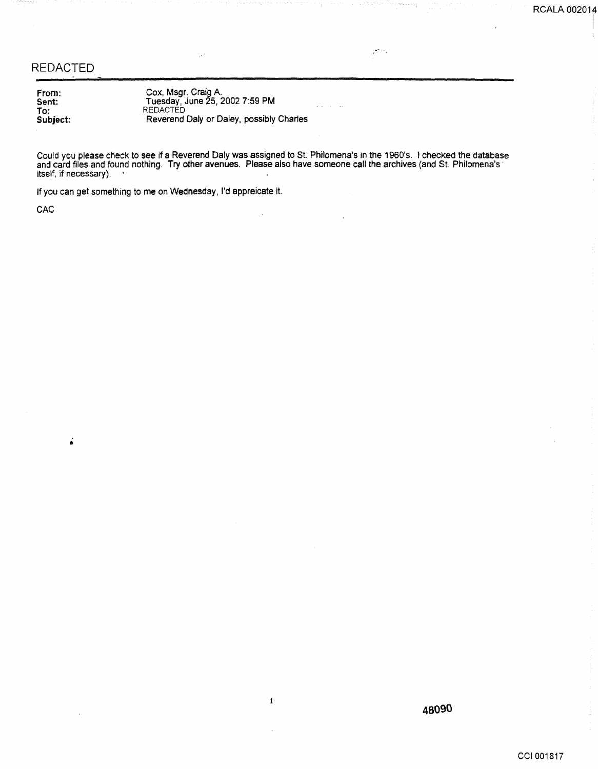#### REDACTED

From: Sent: To: Subject:

Cox, Msgr. Craig A. Tuesday, June 25, 2002 7:59PM REDACTED Reverend Daly or Daley, possibly Charles

Could you please check to see if a Reverend Daly was assigned to St. Philomena's in the 1960's. I checked the database and card files and found nothing. Try other avenues. Please also have someone call the archives (and St. Philomena's · itself, if necessary).  $\quad \cdot$ 

 $\mathbf 1$ 

 $\ddot{\phantom{a}}$ 

If you can get something to me on Wednesday, I'd appreicate it.

**CAC** 

 $\dot{\bullet}$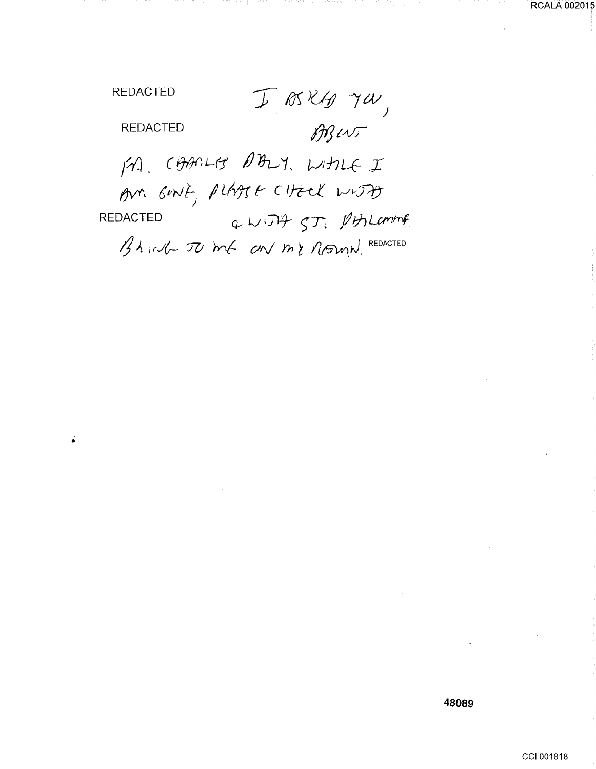I BRKA JW, ABINT

é

**REDACTED** 

**REDACTED** 

M. CAARLES DALY, WHILE I Am GINT, PLATST CHECK WITH Q WITH ST, PHILOMAR **REDACTED** Bhird To me on my ritmind. REDACTED

CCI 001818